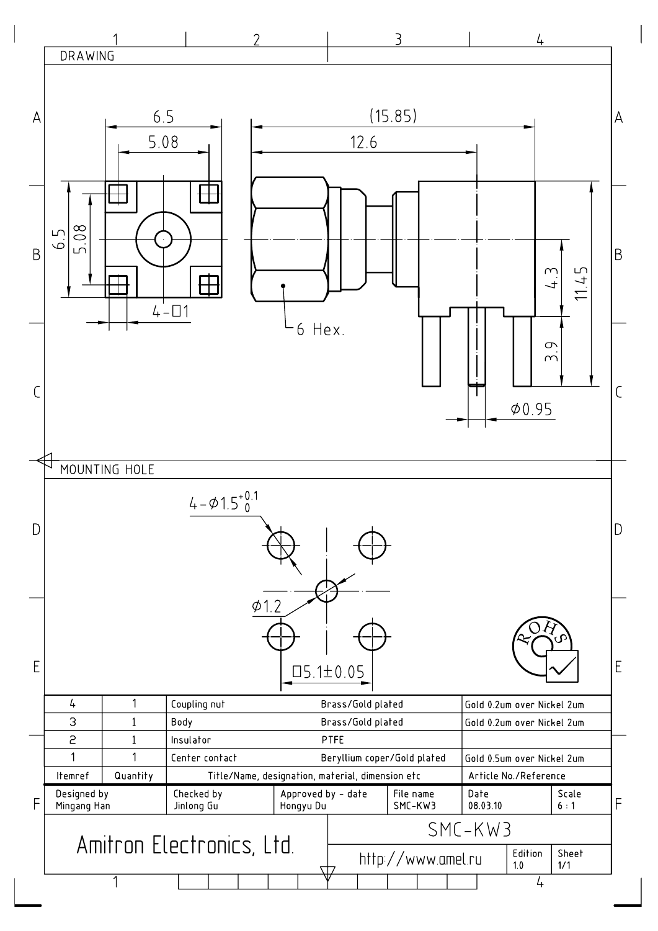